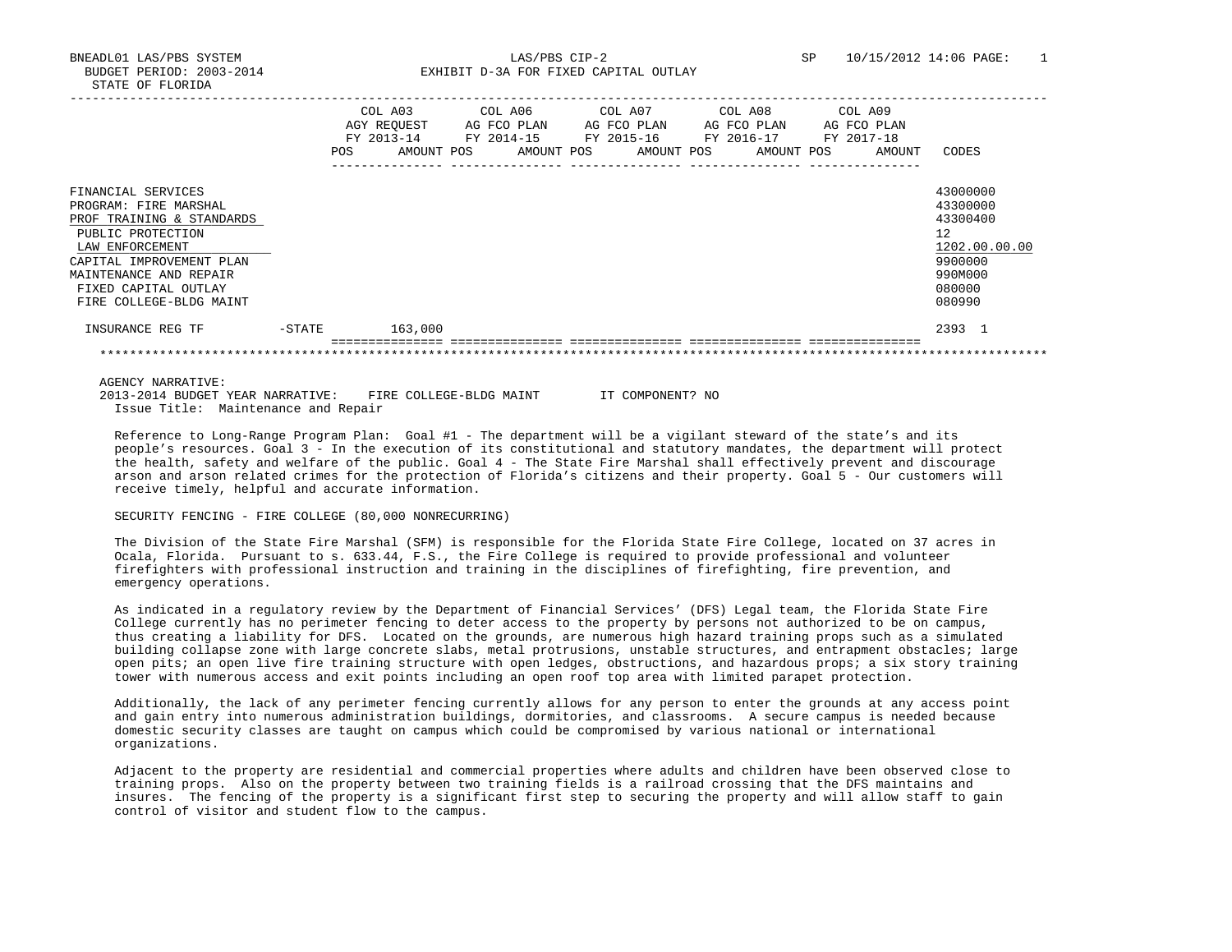BNEADL01 LAS/PBS SYSTEM LAS/PBS CIP-2 SP 10/15/2012 14:06 PAGE: 1 BUDGET PERIOD: 2003-2014 **EXHIBIT D-3A FOR FIXED CAPITAL OUTLAY** 

|                                                                                                                                                                                                                           |        | <b>POS</b> | COL A03<br>AGY REOUEST<br>FY 2013-14<br>AMOUNT POS |  | COL A06<br>AG FCO PLAN<br>FY 2014-15<br>AMOUNT POS | COL A07 |  | AG FCO PLAN<br>FY 2015-16<br>AMOUNT POS |  |  | COL A08<br>AG FCO PLAN<br>FY 2016-17<br>AMOUNT POS | COL A09<br>FY 2017-18 | AG FCO PLAN<br>AMOUNT | CODES                                                                                             |
|---------------------------------------------------------------------------------------------------------------------------------------------------------------------------------------------------------------------------|--------|------------|----------------------------------------------------|--|----------------------------------------------------|---------|--|-----------------------------------------|--|--|----------------------------------------------------|-----------------------|-----------------------|---------------------------------------------------------------------------------------------------|
| FINANCIAL SERVICES<br>PROGRAM: FIRE MARSHAL<br>PROF TRAINING & STANDARDS<br>PUBLIC PROTECTION<br>LAW ENFORCEMENT<br>CAPITAL IMPROVEMENT PLAN<br>MAINTENANCE AND REPAIR<br>FIXED CAPITAL OUTLAY<br>FIRE COLLEGE-BLDG MAINT |        |            |                                                    |  |                                                    |         |  |                                         |  |  |                                                    |                       |                       | 43000000<br>43300000<br>43300400<br>12<br>1202.00.00.00<br>9900000<br>990M000<br>080000<br>080990 |
| INSURANCE REG TF                                                                                                                                                                                                          | -STATE |            | 163,000                                            |  |                                                    |         |  |                                         |  |  |                                                    |                       |                       | 2393 1                                                                                            |
|                                                                                                                                                                                                                           |        |            |                                                    |  |                                                    |         |  |                                         |  |  |                                                    |                       |                       |                                                                                                   |

AGENCY NARRATIVE:

 2013-2014 BUDGET YEAR NARRATIVE: FIRE COLLEGE-BLDG MAINT IT COMPONENT? NO Issue Title: Maintenance and Repair

 Reference to Long-Range Program Plan: Goal #1 - The department will be a vigilant steward of the state's and its people's resources. Goal 3 - In the execution of its constitutional and statutory mandates, the department will protect the health, safety and welfare of the public. Goal 4 - The State Fire Marshal shall effectively prevent and discourage arson and arson related crimes for the protection of Florida's citizens and their property. Goal 5 - Our customers will receive timely, helpful and accurate information.

SECURITY FENCING - FIRE COLLEGE (80,000 NONRECURRING)

 The Division of the State Fire Marshal (SFM) is responsible for the Florida State Fire College, located on 37 acres in Ocala, Florida. Pursuant to s. 633.44, F.S., the Fire College is required to provide professional and volunteer firefighters with professional instruction and training in the disciplines of firefighting, fire prevention, and emergency operations.

 As indicated in a regulatory review by the Department of Financial Services' (DFS) Legal team, the Florida State Fire College currently has no perimeter fencing to deter access to the property by persons not authorized to be on campus, thus creating a liability for DFS. Located on the grounds, are numerous high hazard training props such as a simulated building collapse zone with large concrete slabs, metal protrusions, unstable structures, and entrapment obstacles; large open pits; an open live fire training structure with open ledges, obstructions, and hazardous props; a six story training tower with numerous access and exit points including an open roof top area with limited parapet protection.

 Additionally, the lack of any perimeter fencing currently allows for any person to enter the grounds at any access point and gain entry into numerous administration buildings, dormitories, and classrooms. A secure campus is needed because domestic security classes are taught on campus which could be compromised by various national or international organizations.

 Adjacent to the property are residential and commercial properties where adults and children have been observed close to training props. Also on the property between two training fields is a railroad crossing that the DFS maintains and insures. The fencing of the property is a significant first step to securing the property and will allow staff to gain control of visitor and student flow to the campus.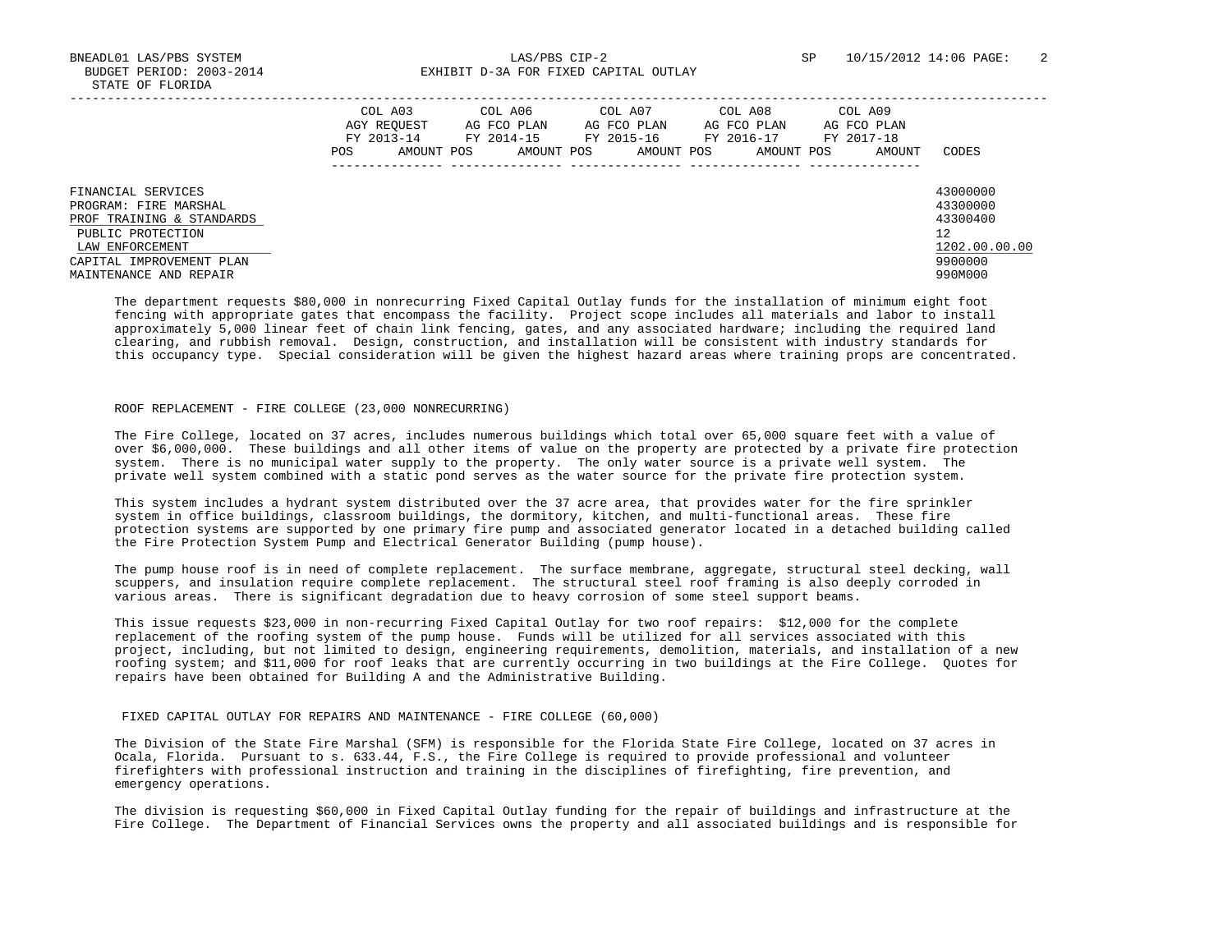BNEADL01 LAS/PBS SYSTEM LAS/PBS CIP-2 SP 10/15/2012 14:06 PAGE: 2 BUDGET PERIOD: 2003-2014 **EXHIBIT D-3A FOR FIXED CAPITAL OUTLAY** 

|                                                                                                                                                                        | <b>POS</b> | COL A03<br>AGY REOUEST<br>FY 2013-14<br>AMOUNT POS | COL A06<br>AG FCO PLAN<br>FY 2014-15<br>AMOUNT POS | COL A07<br>AG FCO PLAN<br>FY 2015-16<br>AMOUNT POS | COL A08<br>AG FCO PLAN<br>FY 2016-17<br>AMOUNT POS | COL A09<br>AG FCO PLAN<br>FY 2017-18<br>AMOUNT | CODES                                                                         |
|------------------------------------------------------------------------------------------------------------------------------------------------------------------------|------------|----------------------------------------------------|----------------------------------------------------|----------------------------------------------------|----------------------------------------------------|------------------------------------------------|-------------------------------------------------------------------------------|
| FINANCIAL SERVICES<br>PROGRAM: FIRE MARSHAL<br>PROF TRAINING & STANDARDS<br>PUBLIC PROTECTION<br>LAW ENFORCEMENT<br>CAPITAL IMPROVEMENT PLAN<br>MAINTENANCE AND REPAIR |            |                                                    |                                                    |                                                    |                                                    |                                                | 43000000<br>43300000<br>43300400<br>12<br>1202.00.00.00<br>9900000<br>990M000 |

 The department requests \$80,000 in nonrecurring Fixed Capital Outlay funds for the installation of minimum eight foot fencing with appropriate gates that encompass the facility. Project scope includes all materials and labor to install approximately 5,000 linear feet of chain link fencing, gates, and any associated hardware; including the required land clearing, and rubbish removal. Design, construction, and installation will be consistent with industry standards for this occupancy type. Special consideration will be given the highest hazard areas where training props are concentrated.

## ROOF REPLACEMENT - FIRE COLLEGE (23,000 NONRECURRING)

 The Fire College, located on 37 acres, includes numerous buildings which total over 65,000 square feet with a value of over \$6,000,000. These buildings and all other items of value on the property are protected by a private fire protection system. There is no municipal water supply to the property. The only water source is a private well system. The private well system combined with a static pond serves as the water source for the private fire protection system.

 This system includes a hydrant system distributed over the 37 acre area, that provides water for the fire sprinkler system in office buildings, classroom buildings, the dormitory, kitchen, and multi-functional areas. These fire protection systems are supported by one primary fire pump and associated generator located in a detached building called the Fire Protection System Pump and Electrical Generator Building (pump house).

 The pump house roof is in need of complete replacement. The surface membrane, aggregate, structural steel decking, wall scuppers, and insulation require complete replacement. The structural steel roof framing is also deeply corroded in various areas. There is significant degradation due to heavy corrosion of some steel support beams.

 This issue requests \$23,000 in non-recurring Fixed Capital Outlay for two roof repairs: \$12,000 for the complete replacement of the roofing system of the pump house. Funds will be utilized for all services associated with this project, including, but not limited to design, engineering requirements, demolition, materials, and installation of a new roofing system; and \$11,000 for roof leaks that are currently occurring in two buildings at the Fire College. Quotes for repairs have been obtained for Building A and the Administrative Building.

## FIXED CAPITAL OUTLAY FOR REPAIRS AND MAINTENANCE - FIRE COLLEGE (60,000)

 The Division of the State Fire Marshal (SFM) is responsible for the Florida State Fire College, located on 37 acres in Ocala, Florida. Pursuant to s. 633.44, F.S., the Fire College is required to provide professional and volunteer firefighters with professional instruction and training in the disciplines of firefighting, fire prevention, and emergency operations.

 The division is requesting \$60,000 in Fixed Capital Outlay funding for the repair of buildings and infrastructure at the Fire College. The Department of Financial Services owns the property and all associated buildings and is responsible for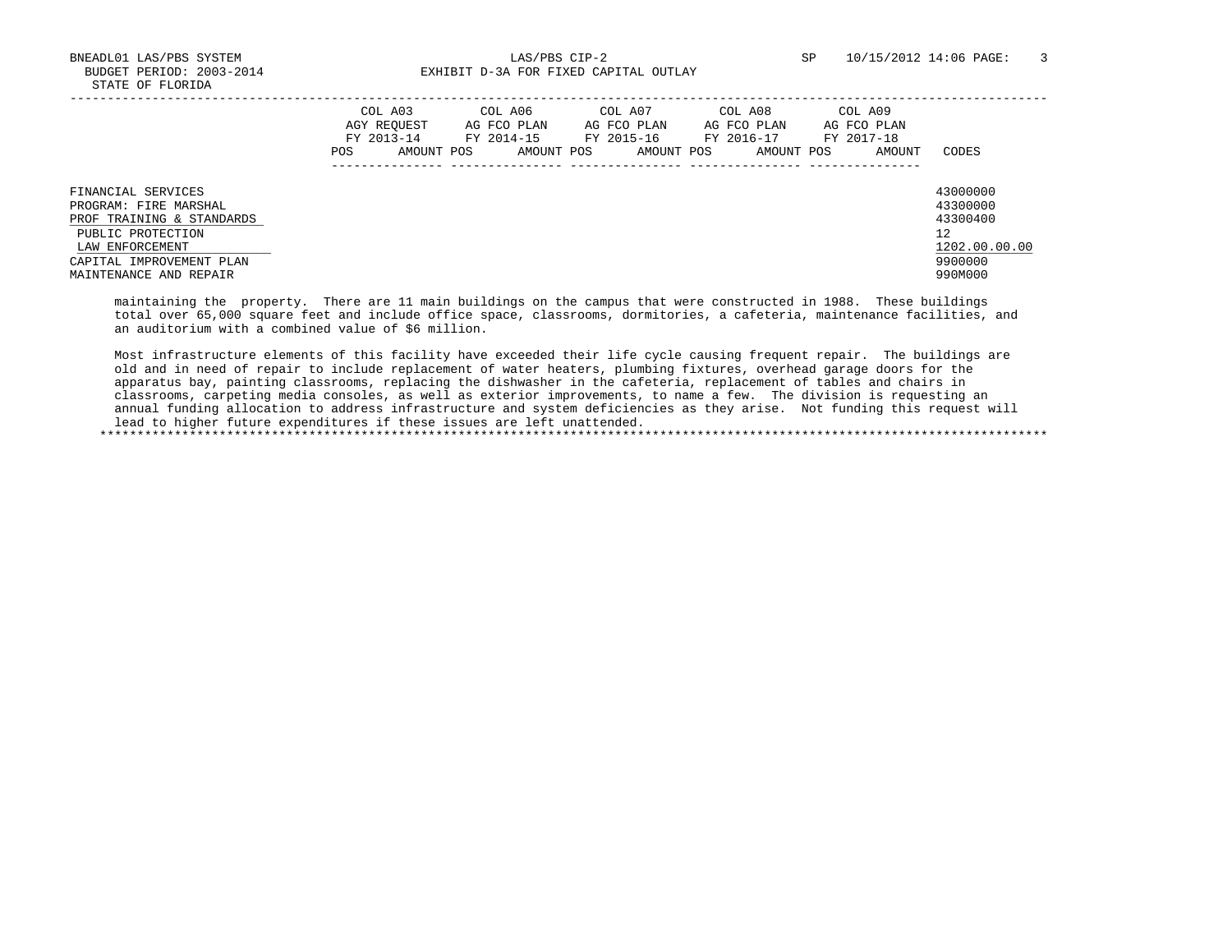BNEADL01 LAS/PBS SYSTEM LAS/PBS CIP-2 SP 10/15/2012 14:06 PAGE: 3 BUDGET PERIOD: 2003-2014 **EXHIBIT D-3A FOR FIXED CAPITAL OUTLAY** 

|                                                                                                                                                                        | COL A03<br>AGY REQUEST<br>FY 2013-14<br>POS. | AMOUNT POS | COL A06<br>AG FCO PLAN<br>FY 2014-15<br>AMOUNT POS | COL A07<br>AG FCO PLAN<br>FY 2015-16<br>AMOUNT POS | COL A08<br>AG FCO PLAN<br>FY 2016-17<br>AMOUNT POS | COL A09<br>AG FCO PLAN<br>FY 2017-18<br>AMOUNT | CODES                                                                         |
|------------------------------------------------------------------------------------------------------------------------------------------------------------------------|----------------------------------------------|------------|----------------------------------------------------|----------------------------------------------------|----------------------------------------------------|------------------------------------------------|-------------------------------------------------------------------------------|
| FINANCIAL SERVICES<br>PROGRAM: FIRE MARSHAL<br>PROF TRAINING & STANDARDS<br>PUBLIC PROTECTION<br>LAW ENFORCEMENT<br>CAPITAL IMPROVEMENT PLAN<br>MAINTENANCE AND REPAIR |                                              |            |                                                    |                                                    |                                                    |                                                | 43000000<br>43300000<br>43300400<br>12<br>1202.00.00.00<br>9900000<br>990M000 |

 maintaining the property. There are 11 main buildings on the campus that were constructed in 1988. These buildings total over 65,000 square feet and include office space, classrooms, dormitories, a cafeteria, maintenance facilities, and an auditorium with a combined value of \$6 million.

 Most infrastructure elements of this facility have exceeded their life cycle causing frequent repair. The buildings are old and in need of repair to include replacement of water heaters, plumbing fixtures, overhead garage doors for the apparatus bay, painting classrooms, replacing the dishwasher in the cafeteria, replacement of tables and chairs in classrooms, carpeting media consoles, as well as exterior improvements, to name a few. The division is requesting an annual funding allocation to address infrastructure and system deficiencies as they arise. Not funding this request will lead to higher future expenditures if these issues are left unattended.

\*\*\*\*\*\*\*\*\*\*\*\*\*\*\*\*\*\*\*\*\*\*\*\*\*\*\*\*\*\*\*\*\*\*\*\*\*\*\*\*\*\*\*\*\*\*\*\*\*\*\*\*\*\*\*\*\*\*\*\*\*\*\*\*\*\*\*\*\*\*\*\*\*\*\*\*\*\*\*\*\*\*\*\*\*\*\*\*\*\*\*\*\*\*\*\*\*\*\*\*\*\*\*\*\*\*\*\*\*\*\*\*\*\*\*\*\*\*\*\*\*\*\*\*\*\*\*